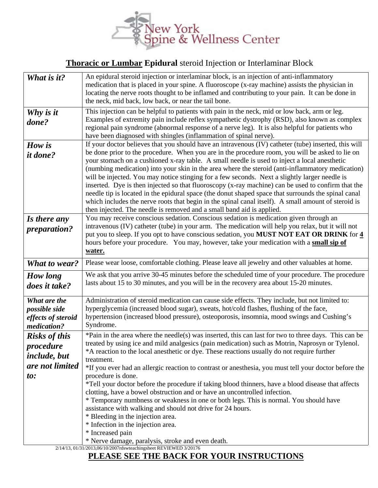

## **Thoracic or Lumbar Epidural** steroid Injection or Interlaminar Block

| What is it?<br>Why is it                                                           | An epidural steroid injection or interlaminar block, is an injection of anti-inflammatory<br>medication that is placed in your spine. A fluoroscope (x-ray machine) assists the physician in<br>locating the nerve roots thought to be inflamed and contributing to your pain. It can be done in<br>the neck, mid back, low back, or near the tail bone.<br>This injection can be helpful to patients with pain in the neck, mid or low back, arm or leg.                                                                                                                                                                                                                                                                                                                                                                                                                                                 |
|------------------------------------------------------------------------------------|-----------------------------------------------------------------------------------------------------------------------------------------------------------------------------------------------------------------------------------------------------------------------------------------------------------------------------------------------------------------------------------------------------------------------------------------------------------------------------------------------------------------------------------------------------------------------------------------------------------------------------------------------------------------------------------------------------------------------------------------------------------------------------------------------------------------------------------------------------------------------------------------------------------|
| done?                                                                              | Examples of extremity pain include reflex sympathetic dystrophy (RSD), also known as complex<br>regional pain syndrome (abnormal response of a nerve leg). It is also helpful for patients who<br>have been diagnosed with shingles (inflammation of spinal nerve).                                                                                                                                                                                                                                                                                                                                                                                                                                                                                                                                                                                                                                       |
| How is<br><i>it done?</i>                                                          | If your doctor believes that you should have an intravenous (IV) catheter (tube) inserted, this will<br>be done prior to the procedure. When you are in the procedure room, you will be asked to lie on<br>your stomach on a cushioned x-ray table. A small needle is used to inject a local anesthetic<br>(numbing medication) into your skin in the area where the steroid (anti-inflammatory medication)<br>will be injected. You may notice stinging for a few seconds. Next a slightly larger needle is<br>inserted. Dye is then injected so that fluoroscopy (x-ray machine) can be used to confirm that the<br>needle tip is located in the epidural space (the donut shaped space that surrounds the spinal canal<br>which includes the nerve roots that begin in the spinal canal itself). A small amount of steroid is<br>then injected. The needle is removed and a small band aid is applied. |
| Is there any<br><i>preparation?</i>                                                | You may receive conscious sedation. Conscious sedation is medication given through an<br>intravenous (IV) catheter (tube) in your arm. The medication will help you relax, but it will not<br>put you to sleep. If you opt to have conscious sedation, you MUST NOT EAT OR DRINK for 4<br>hours before your procedure. You may, however, take your medication with a small sip of<br>water.                                                                                                                                                                                                                                                                                                                                                                                                                                                                                                               |
| <b>What to wear?</b>                                                               | Please wear loose, comfortable clothing. Please leave all jewelry and other valuables at home.                                                                                                                                                                                                                                                                                                                                                                                                                                                                                                                                                                                                                                                                                                                                                                                                            |
| How long<br>does it take?                                                          | We ask that you arrive 30-45 minutes before the scheduled time of your procedure. The procedure<br>lasts about 15 to 30 minutes, and you will be in the recovery area about 15-20 minutes.                                                                                                                                                                                                                                                                                                                                                                                                                                                                                                                                                                                                                                                                                                                |
| What are the<br>possible side<br>effects of steroid<br>medication?                 | Administration of steroid medication can cause side effects. They include, but not limited to:<br>hyperglycemia (increased blood sugar), sweats, hot/cold flashes, flushing of the face,<br>hypertension (increased blood pressure), osteoporosis, insomnia, mood swings and Cushing's<br>Syndrome.                                                                                                                                                                                                                                                                                                                                                                                                                                                                                                                                                                                                       |
| <b>Risks of this</b><br>procedure<br><i>include, but</i><br>are not limited<br>to: | *Pain in the area where the needle(s) was inserted, this can last for two to three days. This can be<br>treated by using ice and mild analgesics (pain medication) such as Motrin, Naprosyn or Tylenol.<br>*A reaction to the local anesthetic or dye. These reactions usually do not require further<br>treatment.<br>*If you ever had an allergic reaction to contrast or anesthesia, you must tell your doctor before the<br>procedure is done.<br>*Tell your doctor before the procedure if taking blood thinners, have a blood disease that affects<br>clotting, have a bowel obstruction and or have an uncontrolled infection.<br>* Temporary numbness or weakness in one or both legs. This is normal. You should have<br>assistance with walking and should not drive for 24 hours.<br>* Bleeding in the injection area.<br>* Infection in the injection area.<br>* Increased pain               |
|                                                                                    | * Nerve damage, paralysis, stroke and even death.<br>2/14/13, 01/31/2013,06/10/2007rdswteachingsheet REVIEWED 3/20176                                                                                                                                                                                                                                                                                                                                                                                                                                                                                                                                                                                                                                                                                                                                                                                     |

## **PLEASE SEE THE BACK FOR YOUR INSTRUCTIONS**